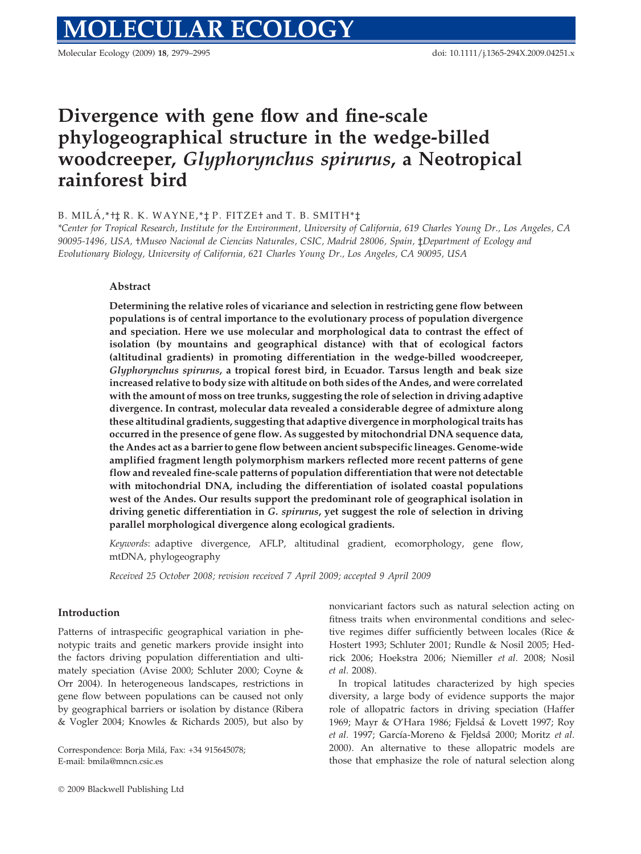Molecular Ecology (2009) 18, 2979–2995 doi: 10.1111/j.1365-294X.2009.04251.x

# Divergence with gene flow and fine-scale phylogeographical structure in the wedge-billed woodcreeper, Glyphorynchus spirurus, a Neotropical rainforest bird

B. MILÁ,\* $\uparrow \uparrow$  R. K. WAYNE,\* $\uparrow \uparrow$  P. FITZE† and T. B. SMITH\* $\uparrow$ 

\*Center for Tropical Research, Institute for the Environment, University of California, 619 Charles Young Dr., Los Angeles, CA 90095-1496, USA, †Museo Nacional de Ciencias Naturales, CSIC, Madrid 28006, Spain, ‡Department of Ecology and Evolutionary Biology, University of California, 621 Charles Young Dr., Los Angeles, CA 90095, USA

# Abstract

Determining the relative roles of vicariance and selection in restricting gene flow between populations is of central importance to the evolutionary process of population divergence and speciation. Here we use molecular and morphological data to contrast the effect of isolation (by mountains and geographical distance) with that of ecological factors (altitudinal gradients) in promoting differentiation in the wedge-billed woodcreeper, Glyphorynchus spirurus, a tropical forest bird, in Ecuador. Tarsus length and beak size increased relative to body size with altitude on both sides of the Andes, and were correlated with the amount of moss on tree trunks, suggesting the role of selection in driving adaptive divergence. In contrast, molecular data revealed a considerable degree of admixture along these altitudinal gradients, suggesting that adaptive divergence in morphological traits has occurred in the presence of gene flow. As suggested by mitochondrial DNA sequence data, the Andes act as a barrier to gene flow between ancient subspecific lineages. Genome-wide amplified fragment length polymorphism markers reflected more recent patterns of gene flow and revealed fine-scale patterns of population differentiation that were not detectable with mitochondrial DNA, including the differentiation of isolated coastal populations west of the Andes. Our results support the predominant role of geographical isolation in driving genetic differentiation in G. spirurus, yet suggest the role of selection in driving parallel morphological divergence along ecological gradients.

Keywords: adaptive divergence, AFLP, altitudinal gradient, ecomorphology, gene flow, mtDNA, phylogeography

Received 25 October 2008; revision received 7 April 2009; accepted 9 April 2009

## Introduction

Patterns of intraspecific geographical variation in phenotypic traits and genetic markers provide insight into the factors driving population differentiation and ultimately speciation (Avise 2000; Schluter 2000; Coyne & Orr 2004). In heterogeneous landscapes, restrictions in gene flow between populations can be caused not only by geographical barriers or isolation by distance (Ribera & Vogler 2004; Knowles & Richards 2005), but also by

Correspondence: Borja Milá, Fax: +34 915645078; E-mail: bmila@mncn.csic.es

nonvicariant factors such as natural selection acting on fitness traits when environmental conditions and selective regimes differ sufficiently between locales (Rice & Hostert 1993; Schluter 2001; Rundle & Nosil 2005; Hedrick 2006; Hoekstra 2006; Niemiller et al. 2008; Nosil et al. 2008).

In tropical latitudes characterized by high species diversity, a large body of evidence supports the major role of allopatric factors in driving speciation (Haffer 1969; Mayr & O'Hara 1986; Fjeldsa˚ & Lovett 1997; Roy et al. 1997; García-Moreno & Fjeldså 2000; Moritz et al. 2000). An alternative to these allopatric models are those that emphasize the role of natural selection along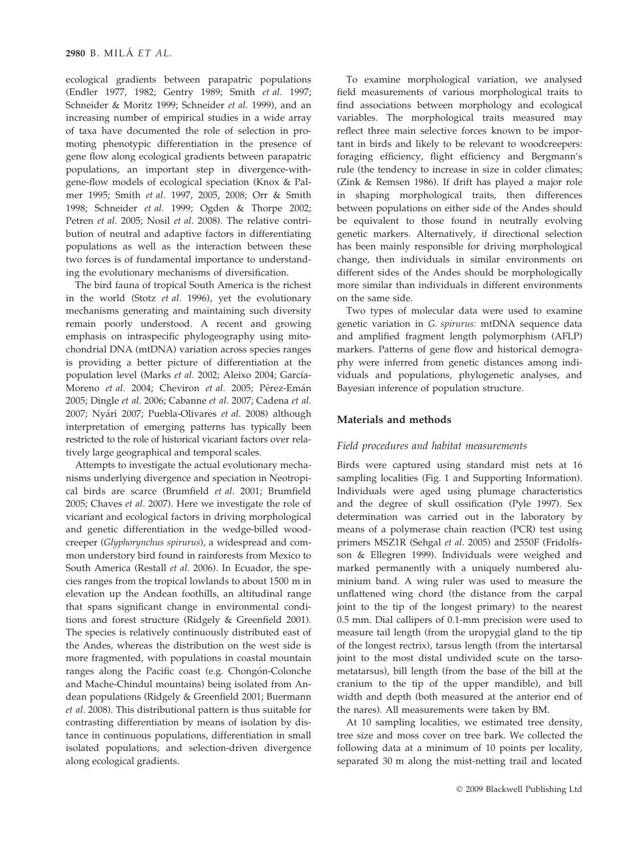ecological gradients between parapatric populations (Endler 1977, 1982; Gentry 1989; Smith et al. 1997; Schneider & Moritz 1999; Schneider et al. 1999), and an increasing number of empirical studies in a wide array of taxa have documented the role of selection in promoting phenotypic differentiation in the presence of gene flow along ecological gradients between parapatric populations, an important step in divergence-withgene-flow models of ecological speciation (Knox & Palmer 1995; Smith et al. 1997, 2005, 2008; Orr & Smith 1998; Schneider et al. 1999; Ogden & Thorpe 2002; Petren et al. 2005; Nosil et al. 2008). The relative contribution of neutral and adaptive factors in differentiating populations as well as the interaction between these two forces is of fundamental importance to understanding the evolutionary mechanisms of diversification.

The bird fauna of tropical South America is the richest in the world (Stotz et al. 1996), yet the evolutionary mechanisms generating and maintaining such diversity remain poorly understood. A recent and growing emphasis on intraspecific phylogeography using mitochondrial DNA (mtDNA) variation across species ranges is providing a better picture of differentiation at the population level (Marks et al. 2002; Aleixo 2004; García-Moreno et al. 2004; Cheviron et al. 2005; Pérez-Emán 2005; Dingle et al. 2006; Cabanne et al. 2007; Cadena et al. 2007; Nyári 2007; Puebla-Olivares et al. 2008) although interpretation of emerging patterns has typically been restricted to the role of historical vicariant factors over relatively large geographical and temporal scales.

Attempts to investigate the actual evolutionary mechanisms underlying divergence and speciation in Neotropical birds are scarce (Brumfield et al. 2001; Brumfield 2005; Chaves et al. 2007). Here we investigate the role of vicariant and ecological factors in driving morphological and genetic differentiation in the wedge-billed woodcreeper (Glyphorynchus spirurus), a widespread and common understory bird found in rainforests from Mexico to South America (Restall et al. 2006). In Ecuador, the species ranges from the tropical lowlands to about 1500 m in elevation up the Andean foothills, an altitudinal range that spans significant change in environmental conditions and forest structure (Ridgely & Greenfield 2001). The species is relatively continuously distributed east of the Andes, whereas the distribution on the west side is more fragmented, with populations in coastal mountain ranges along the Pacific coast (e.g. Chongón-Colonche and Mache-Chindul mountains) being isolated from Andean populations (Ridgely & Greenfield 2001; Buermann et al. 2008). This distributional pattern is thus suitable for contrasting differentiation by means of isolation by distance in continuous populations, differentiation in small isolated populations, and selection-driven divergence along ecological gradients.

To examine morphological variation, we analysed field measurements of various morphological traits to find associations between morphology and ecological variables. The morphological traits measured may reflect three main selective forces known to be important in birds and likely to be relevant to woodcreepers: foraging efficiency, flight efficiency and Bergmann's rule (the tendency to increase in size in colder climates; (Zink & Remsen 1986). If drift has played a major role in shaping morphological traits, then differences between populations on either side of the Andes should be equivalent to those found in neutrally evolving genetic markers. Alternatively, if directional selection has been mainly responsible for driving morphological change, then individuals in similar environments on different sides of the Andes should be morphologically more similar than individuals in different environments on the same side.

Two types of molecular data were used to examine genetic variation in G. spirurus: mtDNA sequence data and amplified fragment length polymorphism (AFLP) markers. Patterns of gene flow and historical demography were inferred from genetic distances among individuals and populations, phylogenetic analyses, and Bayesian inference of population structure.

# Materials and methods

## Field procedures and habitat measurements

Birds were captured using standard mist nets at 16 sampling localities (Fig. 1 and Supporting Information). Individuals were aged using plumage characteristics and the degree of skull ossification (Pyle 1997). Sex determination was carried out in the laboratory by means of a polymerase chain reaction (PCR) test using primers MSZ1R (Sehgal et al. 2005) and 2550F (Fridolfsson & Ellegren 1999). Individuals were weighed and marked permanently with a uniquely numbered aluminium band. A wing ruler was used to measure the unflattened wing chord (the distance from the carpal joint to the tip of the longest primary) to the nearest 0.5 mm. Dial callipers of 0.1-mm precision were used to measure tail length (from the uropygial gland to the tip of the longest rectrix), tarsus length (from the intertarsal joint to the most distal undivided scute on the tarsometatarsus), bill length (from the base of the bill at the cranium to the tip of the upper mandible), and bill width and depth (both measured at the anterior end of the nares). All measurements were taken by BM.

At 10 sampling localities, we estimated tree density, tree size and moss cover on tree bark. We collected the following data at a minimum of 10 points per locality, separated 30 m along the mist-netting trail and located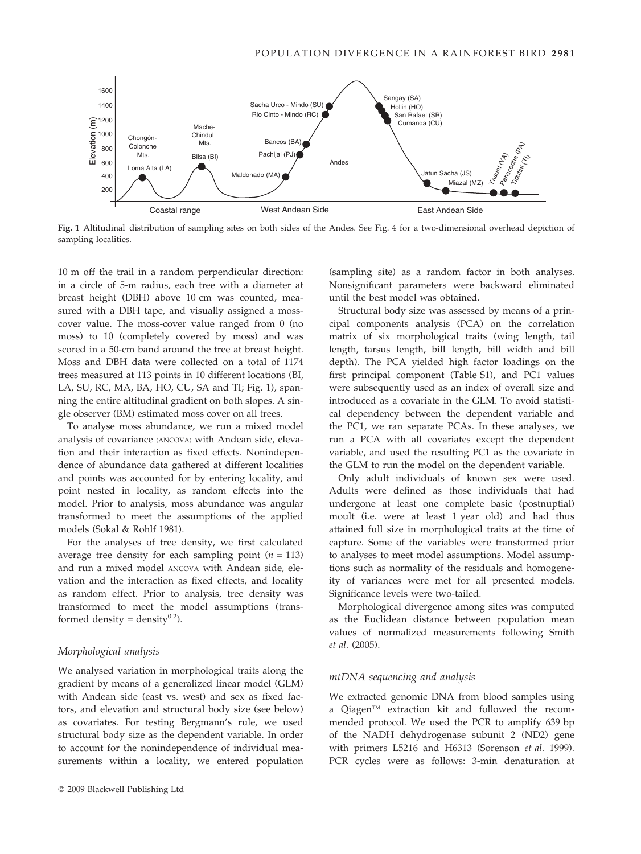

Fig. 1 Altitudinal distribution of sampling sites on both sides of the Andes. See Fig. 4 for a two-dimensional overhead depiction of sampling localities.

10 m off the trail in a random perpendicular direction: in a circle of 5-m radius, each tree with a diameter at breast height (DBH) above 10 cm was counted, measured with a DBH tape, and visually assigned a mosscover value. The moss-cover value ranged from 0 (no moss) to 10 (completely covered by moss) and was scored in a 50-cm band around the tree at breast height. Moss and DBH data were collected on a total of 1174 trees measured at 113 points in 10 different locations (BI, LA, SU, RC, MA, BA, HO, CU, SA and TI; Fig. 1), spanning the entire altitudinal gradient on both slopes. A single observer (BM) estimated moss cover on all trees.

To analyse moss abundance, we run a mixed model analysis of covariance (ANCOVA) with Andean side, elevation and their interaction as fixed effects. Nonindependence of abundance data gathered at different localities and points was accounted for by entering locality, and point nested in locality, as random effects into the model. Prior to analysis, moss abundance was angular transformed to meet the assumptions of the applied models (Sokal & Rohlf 1981).

For the analyses of tree density, we first calculated average tree density for each sampling point  $(n = 113)$ and run a mixed model ANCOVA with Andean side, elevation and the interaction as fixed effects, and locality as random effect. Prior to analysis, tree density was transformed to meet the model assumptions (transformed density = density $^{0.2}$ ).

#### Morphological analysis

We analysed variation in morphological traits along the gradient by means of a generalized linear model (GLM) with Andean side (east vs. west) and sex as fixed factors, and elevation and structural body size (see below) as covariates. For testing Bergmann's rule, we used structural body size as the dependent variable. In order to account for the nonindependence of individual measurements within a locality, we entered population (sampling site) as a random factor in both analyses. Nonsignificant parameters were backward eliminated until the best model was obtained.

Structural body size was assessed by means of a principal components analysis (PCA) on the correlation matrix of six morphological traits (wing length, tail length, tarsus length, bill length, bill width and bill depth). The PCA yielded high factor loadings on the first principal component (Table S1), and PC1 values were subsequently used as an index of overall size and introduced as a covariate in the GLM. To avoid statistical dependency between the dependent variable and the PC1, we ran separate PCAs. In these analyses, we run a PCA with all covariates except the dependent variable, and used the resulting PC1 as the covariate in the GLM to run the model on the dependent variable.

Only adult individuals of known sex were used. Adults were defined as those individuals that had undergone at least one complete basic (postnuptial) moult (i.e. were at least 1 year old) and had thus attained full size in morphological traits at the time of capture. Some of the variables were transformed prior to analyses to meet model assumptions. Model assumptions such as normality of the residuals and homogeneity of variances were met for all presented models. Significance levels were two-tailed.

Morphological divergence among sites was computed as the Euclidean distance between population mean values of normalized measurements following Smith et al. (2005).

## mtDNA sequencing and analysis

We extracted genomic DNA from blood samples using a Qiagen<sup>™</sup> extraction kit and followed the recommended protocol. We used the PCR to amplify 639 bp of the NADH dehydrogenase subunit 2 (ND2) gene with primers L5216 and H6313 (Sorenson et al. 1999). PCR cycles were as follows: 3-min denaturation at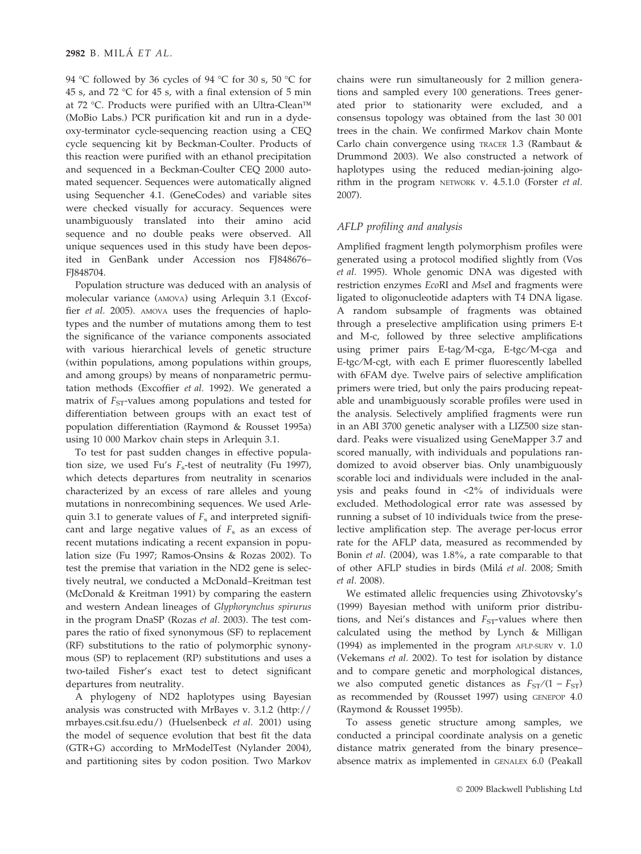94 °C followed by 36 cycles of 94 °C for 30 s, 50 °C for 45 s, and 72  $\degree$ C for 45 s, with a final extension of 5 min at 72 °C. Products were purified with an Ultra-Clean<sup>™</sup> (MoBio Labs.) PCR purification kit and run in a dydeoxy-terminator cycle-sequencing reaction using a CEQ cycle sequencing kit by Beckman-Coulter. Products of this reaction were purified with an ethanol precipitation and sequenced in a Beckman-Coulter CEQ 2000 automated sequencer. Sequences were automatically aligned using Sequencher 4.1. (GeneCodes) and variable sites were checked visually for accuracy. Sequences were unambiguously translated into their amino acid sequence and no double peaks were observed. All unique sequences used in this study have been deposited in GenBank under Accession nos FJ848676– FJ848704.

Population structure was deduced with an analysis of molecular variance (AMOVA) using Arlequin 3.1 (Excoffier *et al.* 2005). AMOVA uses the frequencies of haplotypes and the number of mutations among them to test the significance of the variance components associated with various hierarchical levels of genetic structure (within populations, among populations within groups, and among groups) by means of nonparametric permutation methods (Excoffier et al. 1992). We generated a matrix of  $F_{ST}$ -values among populations and tested for differentiation between groups with an exact test of population differentiation (Raymond & Rousset 1995a) using 10 000 Markov chain steps in Arlequin 3.1.

To test for past sudden changes in effective population size, we used Fu's  $F_s$ -test of neutrality (Fu 1997), which detects departures from neutrality in scenarios characterized by an excess of rare alleles and young mutations in nonrecombining sequences. We used Arlequin 3.1 to generate values of  $F_s$  and interpreted significant and large negative values of  $F_s$  as an excess of recent mutations indicating a recent expansion in population size (Fu 1997; Ramos-Onsins & Rozas 2002). To test the premise that variation in the ND2 gene is selectively neutral, we conducted a McDonald–Kreitman test (McDonald & Kreitman 1991) by comparing the eastern and western Andean lineages of Glyphorynchus spirurus in the program DnaSP (Rozas et al. 2003). The test compares the ratio of fixed synonymous (SF) to replacement (RF) substitutions to the ratio of polymorphic synonymous (SP) to replacement (RP) substitutions and uses a two-tailed Fisher's exact test to detect significant departures from neutrality.

A phylogeny of ND2 haplotypes using Bayesian analysis was constructed with MrBayes v. 3.1.2 (http:// mrbayes.csit.fsu.edu/) (Huelsenbeck et al. 2001) using the model of sequence evolution that best fit the data (GTR+G) according to MrModelTest (Nylander 2004), and partitioning sites by codon position. Two Markov

chains were run simultaneously for 2 million generations and sampled every 100 generations. Trees generated prior to stationarity were excluded, and a consensus topology was obtained from the last 30 001 trees in the chain. We confirmed Markov chain Monte Carlo chain convergence using TRACER 1.3 (Rambaut & Drummond 2003). We also constructed a network of haplotypes using the reduced median-joining algorithm in the program NETWORK v. 4.5.1.0 (Forster et al. 2007).

## AFLP profiling and analysis

Amplified fragment length polymorphism profiles were generated using a protocol modified slightly from (Vos et al. 1995). Whole genomic DNA was digested with restriction enzymes EcoRI and MseI and fragments were ligated to oligonucleotide adapters with T4 DNA ligase. A random subsample of fragments was obtained through a preselective amplification using primers E-t and M-c, followed by three selective amplifications using primer pairs E-tag/M-cga, E-tgc/M-cga and E-tgc/M-cgt, with each E primer fluorescently labelled with 6FAM dye. Twelve pairs of selective amplification primers were tried, but only the pairs producing repeatable and unambiguously scorable profiles were used in the analysis. Selectively amplified fragments were run in an ABI 3700 genetic analyser with a LIZ500 size standard. Peaks were visualized using GeneMapper 3.7 and scored manually, with individuals and populations randomized to avoid observer bias. Only unambiguously scorable loci and individuals were included in the analysis and peaks found in <2% of individuals were excluded. Methodological error rate was assessed by running a subset of 10 individuals twice from the preselective amplification step. The average per-locus error rate for the AFLP data, measured as recommended by Bonin et al. (2004), was 1.8%, a rate comparable to that of other AFLP studies in birds (Milá et al. 2008; Smith et al. 2008).

We estimated allelic frequencies using Zhivotovsky's (1999) Bayesian method with uniform prior distributions, and Nei's distances and  $F_{ST}$ -values where then calculated using the method by Lynch & Milligan (1994) as implemented in the program AFLP-SURV v. 1.0 (Vekemans et al. 2002). To test for isolation by distance and to compare genetic and morphological distances, we also computed genetic distances as  $F_{ST}/(1 - F_{ST})$ as recommended by (Rousset 1997) using GENEPOP 4.0 (Raymond & Rousset 1995b).

To assess genetic structure among samples, we conducted a principal coordinate analysis on a genetic distance matrix generated from the binary presence– absence matrix as implemented in GENALEX 6.0 (Peakall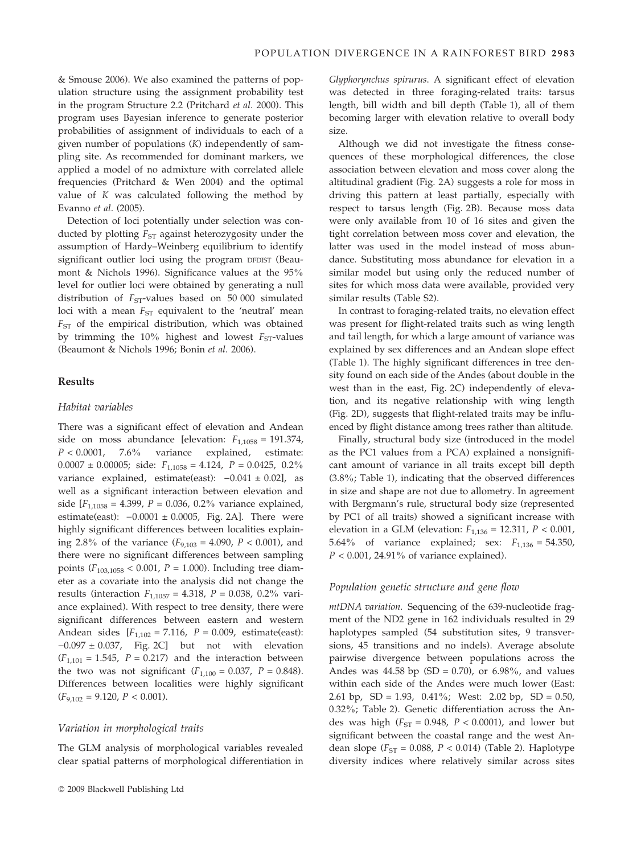& Smouse 2006). We also examined the patterns of population structure using the assignment probability test in the program Structure 2.2 (Pritchard et al. 2000). This program uses Bayesian inference to generate posterior probabilities of assignment of individuals to each of a given number of populations (K) independently of sampling site. As recommended for dominant markers, we applied a model of no admixture with correlated allele frequencies (Pritchard & Wen 2004) and the optimal value of K was calculated following the method by Evanno et al. (2005).

Detection of loci potentially under selection was conducted by plotting  $F_{ST}$  against heterozygosity under the assumption of Hardy–Weinberg equilibrium to identify significant outlier loci using the program DFDIST (Beaumont & Nichols 1996). Significance values at the 95% level for outlier loci were obtained by generating a null distribution of  $F_{ST}$ -values based on 50 000 simulated loci with a mean  $F_{ST}$  equivalent to the 'neutral' mean  $F_{ST}$  of the empirical distribution, which was obtained by trimming the  $10\%$  highest and lowest  $F_{ST}$ -values (Beaumont & Nichols 1996; Bonin et al. 2006).

## Results

#### Habitat variables

There was a significant effect of elevation and Andean side on moss abundance [elevation:  $F_{1,1058} = 191.374$ ,  $P < 0.0001$ , 7.6% variance explained, estimate:  $0.0007 \pm 0.00005$ ; side:  $F_{1,1058} = 4.124$ ,  $P = 0.0425$ ,  $0.2\%$ variance explained, estimate(east):  $-0.041 \pm 0.02$ ], as well as a significant interaction between elevation and side  $[F_{1,1058} = 4.399, P = 0.036, 0.2\%$  variance explained, estimate(east):  $-0.0001 \pm 0.0005$ , Fig. 2A]. There were highly significant differences between localities explaining 2.8% of the variance  $(F_{9,103} = 4.090, P < 0.001)$ , and there were no significant differences between sampling points ( $F_{103,1058}$  < 0.001,  $P = 1.000$ ). Including tree diameter as a covariate into the analysis did not change the results (interaction  $F_{1,1057} = 4.318$ ,  $P = 0.038$ , 0.2% variance explained). With respect to tree density, there were significant differences between eastern and western Andean sides  $[F_{1,102} = 7.116, P = 0.009, estimate(east):$  $-0.097 \pm 0.037$ , Fig. 2C] but not with elevation  $(F_{1,101} = 1.545, P = 0.217)$  and the interaction between the two was not significant ( $F_{1,100} = 0.037$ ,  $P = 0.848$ ). Differences between localities were highly significant  $(F_{9,102} = 9.120, P < 0.001).$ 

#### Variation in morphological traits

The GLM analysis of morphological variables revealed clear spatial patterns of morphological differentiation in Glyphorynchus spirurus. A significant effect of elevation was detected in three foraging-related traits: tarsus length, bill width and bill depth (Table 1), all of them becoming larger with elevation relative to overall body size.

Although we did not investigate the fitness consequences of these morphological differences, the close association between elevation and moss cover along the altitudinal gradient (Fig. 2A) suggests a role for moss in driving this pattern at least partially, especially with respect to tarsus length (Fig. 2B). Because moss data were only available from 10 of 16 sites and given the tight correlation between moss cover and elevation, the latter was used in the model instead of moss abundance. Substituting moss abundance for elevation in a similar model but using only the reduced number of sites for which moss data were available, provided very similar results (Table S2).

In contrast to foraging-related traits, no elevation effect was present for flight-related traits such as wing length and tail length, for which a large amount of variance was explained by sex differences and an Andean slope effect (Table 1). The highly significant differences in tree density found on each side of the Andes (about double in the west than in the east, Fig. 2C) independently of elevation, and its negative relationship with wing length (Fig. 2D), suggests that flight-related traits may be influenced by flight distance among trees rather than altitude.

Finally, structural body size (introduced in the model as the PC1 values from a PCA) explained a nonsignificant amount of variance in all traits except bill depth (3.8%; Table 1), indicating that the observed differences in size and shape are not due to allometry. In agreement with Bergmann's rule, structural body size (represented by PC1 of all traits) showed a significant increase with elevation in a GLM (elevation:  $F_{1,136} = 12.311$ ,  $P < 0.001$ , 5.64% of variance explained; sex:  $F_{1,136} = 54.350$ ,  $P < 0.001$ , 24.91% of variance explained).

## Population genetic structure and gene flow

mtDNA variation. Sequencing of the 639-nucleotide fragment of the ND2 gene in 162 individuals resulted in 29 haplotypes sampled (54 substitution sites, 9 transversions, 45 transitions and no indels). Average absolute pairwise divergence between populations across the Andes was  $44.58$  bp (SD = 0.70), or 6.98%, and values within each side of the Andes were much lower (East: 2.61 bp,  $SD = 1.93$ , 0.41%; West: 2.02 bp,  $SD = 0.50$ , 0.32%; Table 2). Genetic differentiation across the Andes was high ( $F_{ST} = 0.948$ ,  $P < 0.0001$ ), and lower but significant between the coastal range and the west Andean slope ( $F_{ST}$  = 0.088,  $P < 0.014$ ) (Table 2). Haplotype diversity indices where relatively similar across sites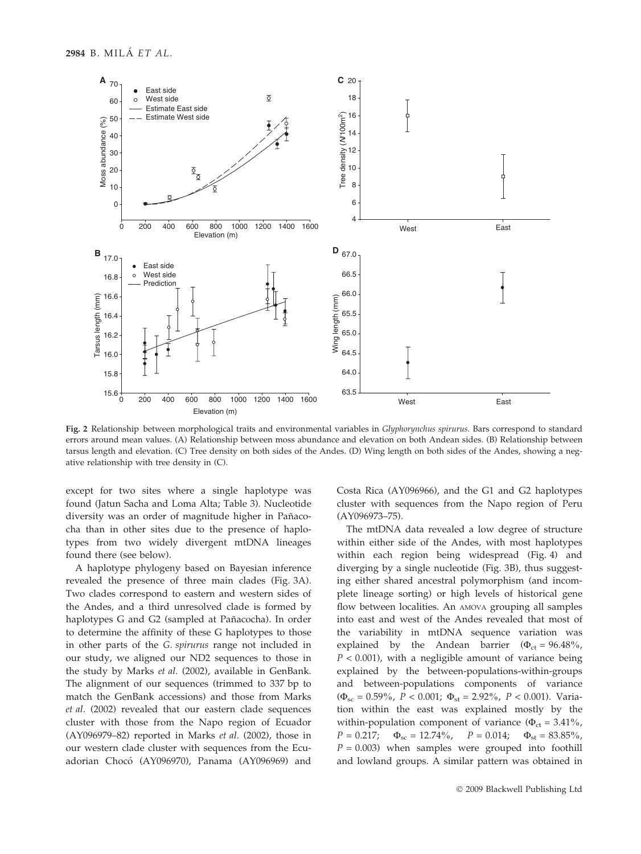

Fig. 2 Relationship between morphological traits and environmental variables in Glyphorynchus spirurus. Bars correspond to standard errors around mean values. (A) Relationship between moss abundance and elevation on both Andean sides. (B) Relationship between tarsus length and elevation. (C) Tree density on both sides of the Andes. (D) Wing length on both sides of the Andes, showing a negative relationship with tree density in (C).

except for two sites where a single haplotype was found (Jatun Sacha and Loma Alta; Table 3). Nucleotide diversity was an order of magnitude higher in Pañacocha than in other sites due to the presence of haplotypes from two widely divergent mtDNA lineages found there (see below).

A haplotype phylogeny based on Bayesian inference revealed the presence of three main clades (Fig. 3A). Two clades correspond to eastern and western sides of the Andes, and a third unresolved clade is formed by haplotypes G and G2 (sampled at Pañacocha). In order to determine the affinity of these G haplotypes to those in other parts of the G. spirurus range not included in our study, we aligned our ND2 sequences to those in the study by Marks et al. (2002), available in GenBank. The alignment of our sequences (trimmed to 337 bp to match the GenBank accessions) and those from Marks et al. (2002) revealed that our eastern clade sequences cluster with those from the Napo region of Ecuador (AY096979–82) reported in Marks et al. (2002), those in our western clade cluster with sequences from the Ecuadorian Chocó (AY096970), Panama (AY096969) and

Costa Rica (AY096966), and the G1 and G2 haplotypes cluster with sequences from the Napo region of Peru (AY096973–75).

The mtDNA data revealed a low degree of structure within either side of the Andes, with most haplotypes within each region being widespread (Fig. 4) and diverging by a single nucleotide (Fig. 3B), thus suggesting either shared ancestral polymorphism (and incomplete lineage sorting) or high levels of historical gene flow between localities. An AMOVA grouping all samples into east and west of the Andes revealed that most of the variability in mtDNA sequence variation was explained by the Andean barrier ( $\Phi_{ct} = 96.48\%$ ,  $P < 0.001$ ), with a negligible amount of variance being explained by the between-populations-within-groups and between-populations components of variance  $(\Phi_{\rm sc} = 0.59\%, P < 0.001; \Phi_{\rm st} = 2.92\%, P < 0.001)$ . Variation within the east was explained mostly by the within-population component of variance ( $\Phi_{ct} = 3.41\%$ ,  $P = 0.217$ ;  $\Phi_{\text{sc}} = 12.74\%$ ,  $P = 0.014$ ;  $\Phi_{\text{st}} = 83.85\%$ ,  $P = 0.003$ ) when samples were grouped into foothill and lowland groups. A similar pattern was obtained in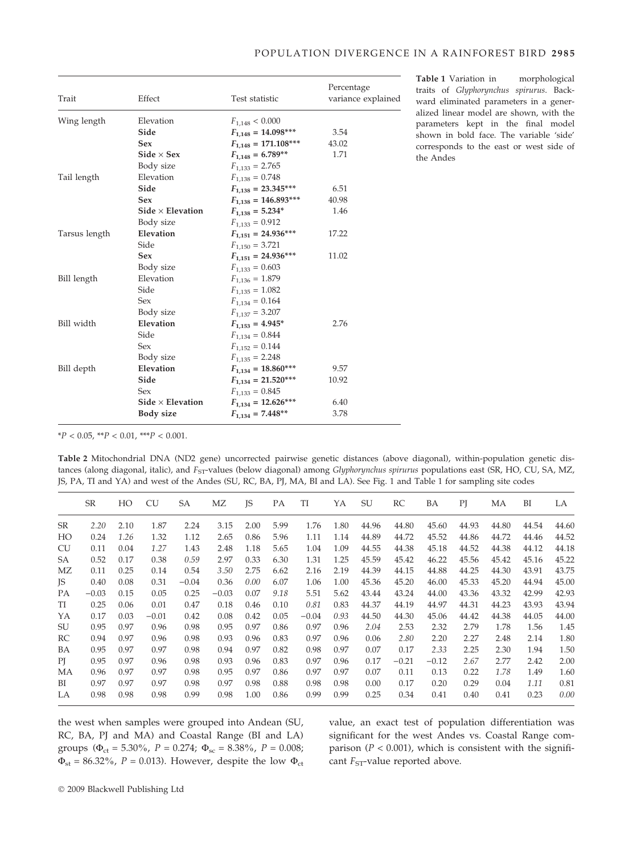| Trait         | Effect                  | Test statistic           | Percentage<br>variance explained |
|---------------|-------------------------|--------------------------|----------------------------------|
| Wing length   | Elevation               | $F_{1,148} < 0.000$      |                                  |
|               | Side                    | $F_{1,148} = 14.098***$  | 3.54                             |
|               | <b>Sex</b>              | $F_{1,148} = 171.108***$ | 43.02                            |
|               | $Side \times Sex$       | $F_{1.148} = 6.789**$    | 1.71                             |
|               | Body size               | $F_{1,133} = 2.765$      |                                  |
| Tail length   | Elevation               | $F_{1.138} = 0.748$      |                                  |
|               | Side                    | $F_{1,138} = 23.345***$  | 6.51                             |
|               | <b>Sex</b>              | $F_{1,138} = 146.893***$ | 40.98                            |
|               | Side $\times$ Elevation | $F_{1,138} = 5.234*$     | 1.46                             |
|               | Body size               | $F_{1,133} = 0.912$      |                                  |
| Tarsus length | Elevation               | $F_{1.151} = 24.936***$  | 17.22                            |
|               | Side                    | $F_{1,150} = 3.721$      |                                  |
|               | Sex                     | $F_{1,151} = 24.936***$  | 11.02                            |
|               | Body size               | $F_{1,133} = 0.603$      |                                  |
| Bill length   | Elevation               | $F_{1,136} = 1.879$      |                                  |
|               | Side                    | $F_{1.135} = 1.082$      |                                  |
|               | <b>Sex</b>              | $F_{1.134} = 0.164$      |                                  |
|               | Body size               | $F_{1,137} = 3.207$      |                                  |
| Bill width    | Elevation               | $F_{1,153} = 4.945*$     | 2.76                             |
|               | Side                    | $F_{1,134} = 0.844$      |                                  |
|               | <b>Sex</b>              | $F_{1,152} = 0.144$      |                                  |
|               | Body size               | $F_{1,135} = 2.248$      |                                  |
| Bill depth    | Elevation               | $F_{1,134} = 18.860***$  | 9.57                             |
|               | Side                    | $F_{1,134} = 21.520***$  | 10.92                            |
|               | <b>Sex</b>              | $F_{1,133} = 0.845$      |                                  |
|               | Side $\times$ Elevation | $F_{1,134} = 12.626***$  | 6.40                             |
|               | <b>Body size</b>        | $F_{1,134} = 7.448**$    | 3.78                             |

Table 1 Variation in morphological traits of Glyphorynchus spirurus. Backward eliminated parameters in a generalized linear model are shown, with the parameters kept in the final model shown in bold face. The variable 'side' corresponds to the east or west side of the Andes

 $*P < 0.05$ ,  $*P < 0.01$ ,  $*P < 0.001$ .

Table 2 Mitochondrial DNA (ND2 gene) uncorrected pairwise genetic distances (above diagonal), within-population genetic distances (along diagonal, italic), and  $F<sub>ST</sub>$ -values (below diagonal) among *Glyphorynchus spirurus* populations east (SR, HO, CU, SA, MZ, JS, PA, TI and YA) and west of the Andes (SU, RC, BA, PJ, MA, BI and LA). See Fig. 1 and Table 1 for sampling site codes

|           | SR      | HO   | <b>CU</b> | SA      | MZ      | <b>JS</b> | PА   | TI      | YA   | SU    | RC      | BA      | PI    | МA    | BI    | LA    |
|-----------|---------|------|-----------|---------|---------|-----------|------|---------|------|-------|---------|---------|-------|-------|-------|-------|
| SR        | 2.20    | 2.10 | 1.87      | 2.24    | 3.15    | 2.00      | 5.99 | 1.76    | 1.80 | 44.96 | 44.80   | 45.60   | 44.93 | 44.80 | 44.54 | 44.60 |
| HO        | 0.24    | 1.26 | 1.32      | 1.12    | 2.65    | 0.86      | 5.96 | 1.11    | 1.14 | 44.89 | 44.72   | 45.52   | 44.86 | 44.72 | 44.46 | 44.52 |
| <b>CU</b> | 0.11    | 0.04 | 1.27      | 1.43    | 2.48    | 1.18      | 5.65 | 1.04    | 1.09 | 44.55 | 44.38   | 45.18   | 44.52 | 44.38 | 44.12 | 44.18 |
| SA        | 0.52    | 0.17 | 0.38      | 0.59    | 2.97    | 0.33      | 6.30 | 1.31    | 1.25 | 45.59 | 45.42   | 46.22   | 45.56 | 45.42 | 45.16 | 45.22 |
| MΖ        | 0.11    | 0.25 | 0.14      | 0.54    | 3.50    | 2.75      | 6.62 | 2.16    | 2.19 | 44.39 | 44.15   | 44.88   | 44.25 | 44.30 | 43.91 | 43.75 |
| JS        | 0.40    | 0.08 | 0.31      | $-0.04$ | 0.36    | 0.00      | 6.07 | 1.06    | 1.00 | 45.36 | 45.20   | 46.00   | 45.33 | 45.20 | 44.94 | 45.00 |
| PA        | $-0.03$ | 0.15 | 0.05      | 0.25    | $-0.03$ | 0.07      | 9.18 | 5.51    | 5.62 | 43.44 | 43.24   | 44.00   | 43.36 | 43.32 | 42.99 | 42.93 |
| TI        | 0.25    | 0.06 | 0.01      | 0.47    | 0.18    | 0.46      | 0.10 | 0.81    | 0.83 | 44.37 | 44.19   | 44.97   | 44.31 | 44.23 | 43.93 | 43.94 |
| YA        | 0.17    | 0.03 | $-0.01$   | 0.42    | 0.08    | 0.42      | 0.05 | $-0.04$ | 0.93 | 44.50 | 44.30   | 45.06   | 44.42 | 44.38 | 44.05 | 44.00 |
| SU        | 0.95    | 0.97 | 0.96      | 0.98    | 0.95    | 0.97      | 0.86 | 0.97    | 0.96 | 2.04  | 2.53    | 2.32    | 2.79  | 1.78  | 1.56  | 1.45  |
| RC        | 0.94    | 0.97 | 0.96      | 0.98    | 0.93    | 0.96      | 0.83 | 0.97    | 0.96 | 0.06  | 2.80    | 2.20    | 2.27  | 2.48  | 2.14  | 1.80  |
| BA        | 0.95    | 0.97 | 0.97      | 0.98    | 0.94    | 0.97      | 0.82 | 0.98    | 0.97 | 0.07  | 0.17    | 2.33    | 2.25  | 2.30  | 1.94  | 1.50  |
| PI        | 0.95    | 0.97 | 0.96      | 0.98    | 0.93    | 0.96      | 0.83 | 0.97    | 0.96 | 0.17  | $-0.21$ | $-0.12$ | 2.67  | 2.77  | 2.42  | 2.00  |
| MA        | 0.96    | 0.97 | 0.97      | 0.98    | 0.95    | 0.97      | 0.86 | 0.97    | 0.97 | 0.07  | 0.11    | 0.13    | 0.22  | 1.78  | 1.49  | 1.60  |
| BI        | 0.97    | 0.97 | 0.97      | 0.98    | 0.97    | 0.98      | 0.88 | 0.98    | 0.98 | 0.00  | 0.17    | 0.20    | 0.29  | 0.04  | 1.11  | 0.81  |
| LA        | 0.98    | 0.98 | 0.98      | 0.99    | 0.98    | 1.00      | 0.86 | 0.99    | 0.99 | 0.25  | 0.34    | 0.41    | 0.40  | 0.41  | 0.23  | 0.00  |

the west when samples were grouped into Andean (SU, RC, BA, PJ and MA) and Coastal Range (BI and LA) groups ( $\Phi_{ct} = 5.30\%$ ,  $P = 0.274$ ;  $\Phi_{sc} = 8.38\%$ ,  $P = 0.008$ ;  $\Phi_{st} = 86.32\%$ ,  $P = 0.013$ ). However, despite the low  $\Phi_{ct}$ 

value, an exact test of population differentiation was significant for the west Andes vs. Coastal Range comparison ( $P < 0.001$ ), which is consistent with the significant  $F_{ST}$ -value reported above.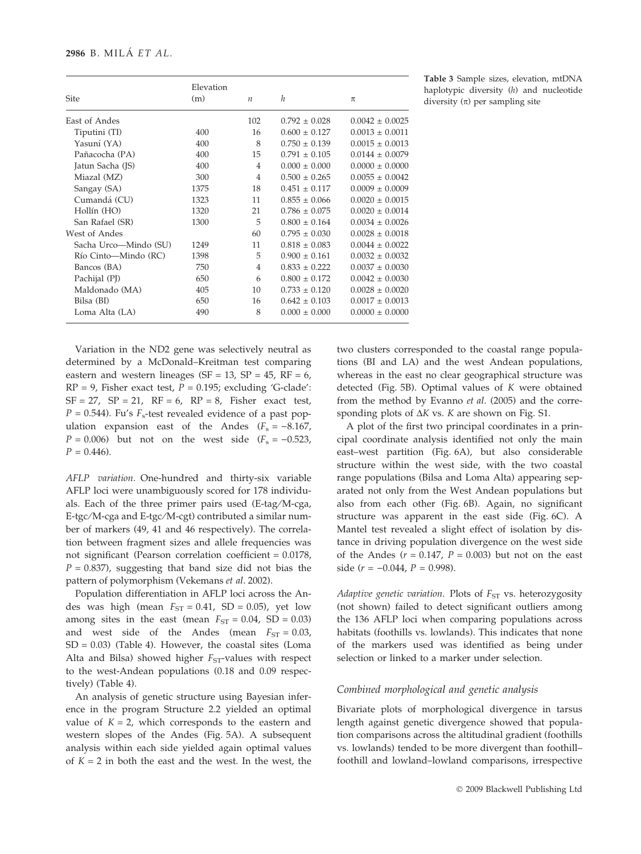| Site                  | Elevation<br>(m) | $\boldsymbol{n}$ | h                 | π                   |
|-----------------------|------------------|------------------|-------------------|---------------------|
|                       |                  |                  |                   |                     |
| East of Andes         |                  | 102              | $0.792 \pm 0.028$ | $0.0042 \pm 0.0025$ |
| Tiputini (TI)         | 400              | 16               | $0.600 \pm 0.127$ | $0.0013 \pm 0.0011$ |
| Yasuní (YA)           | 400              | 8                | $0.750 \pm 0.139$ | $0.0015 \pm 0.0013$ |
| Pañacocha (PA)        | 400              | 15               | $0.791 \pm 0.105$ | $0.0144 \pm 0.0079$ |
| Jatun Sacha (JS)      | 400              | $\overline{4}$   | $0.000 \pm 0.000$ | $0.0000 \pm 0.0000$ |
| Miazal (MZ)           | 300              | $\overline{4}$   | $0.500 \pm 0.265$ | $0.0055 \pm 0.0042$ |
| Sangay (SA)           | 1375             | 18               | $0.451 \pm 0.117$ | $0.0009 \pm 0.0009$ |
| Cumandá (CU)          | 1323             | 11               | $0.855 \pm 0.066$ | $0.0020 \pm 0.0015$ |
| Hollín (HO)           | 1320             | 21               | $0.786 \pm 0.075$ | $0.0020 \pm 0.0014$ |
| San Rafael (SR)       | 1300             | 5                | $0.800 \pm 0.164$ | $0.0034 \pm 0.0026$ |
| West of Andes         |                  | 60               | $0.795 \pm 0.030$ | $0.0028 \pm 0.0018$ |
| Sacha Urco—Mindo (SU) | 1249             | 11               | $0.818 \pm 0.083$ | $0.0044 \pm 0.0022$ |
| Río Cinto—Mindo (RC)  | 1398             | 5                | $0.900 \pm 0.161$ | $0.0032 \pm 0.0032$ |
| Bancos (BA)           | 750              | $\overline{4}$   | $0.833 \pm 0.222$ | $0.0037 \pm 0.0030$ |
| Pachijal (PJ)         | 650              | 6                | $0.800 \pm 0.172$ | $0.0042 \pm 0.0030$ |
| Maldonado (MA)        | 405              | 10               | $0.733 \pm 0.120$ | $0.0028 \pm 0.0020$ |
| Bilsa (BI)            | 650              | 16               | $0.642 \pm 0.103$ | $0.0017 \pm 0.0013$ |
| Loma Alta (LA)        | 490              | 8                | $0.000 \pm 0.000$ | $0.0000 \pm 0.0000$ |

Table 3 Sample sizes, elevation, mtDNA haplotypic diversity (h) and nucleotide diversity  $(n)$  per sampling site

Variation in the ND2 gene was selectively neutral as determined by a McDonald–Kreitman test comparing eastern and western lineages (SF = 13, SP = 45, RF =  $6$ ,  $RP = 9$ , Fisher exact test,  $P = 0.195$ ; excluding 'G-clade':  $SF = 27$ ,  $SP = 21$ ,  $RF = 6$ ,  $RP = 8$ , Fisher exact test,  $P = 0.544$ ). Fu's  $F_s$ -test revealed evidence of a past population expansion east of the Andes  $(F_s = -8.167)$ ,  $P = 0.006$ ) but not on the west side ( $F_s = -0.523$ ,  $P = 0.446$ .

AFLP variation. One-hundred and thirty-six variable AFLP loci were unambiguously scored for 178 individuals. Each of the three primer pairs used (E-tag/M-cga, E-tgc/M-cga and E-tgc/M-cgt) contributed a similar number of markers (49, 41 and 46 respectively). The correlation between fragment sizes and allele frequencies was not significant (Pearson correlation coefficient = 0.0178,  $P = 0.837$ , suggesting that band size did not bias the pattern of polymorphism (Vekemans et al. 2002).

Population differentiation in AFLP loci across the Andes was high (mean  $F_{ST} = 0.41$ , SD = 0.05), yet low among sites in the east (mean  $F_{ST} = 0.04$ , SD = 0.03) and west side of the Andes (mean  $F_{ST} = 0.03$ ,  $SD = 0.03$ ) (Table 4). However, the coastal sites (Loma Alta and Bilsa) showed higher  $F_{ST}$ -values with respect to the west-Andean populations (0.18 and 0.09 respectively) (Table 4).

An analysis of genetic structure using Bayesian inference in the program Structure 2.2 yielded an optimal value of  $K = 2$ , which corresponds to the eastern and western slopes of the Andes (Fig. 5A). A subsequent analysis within each side yielded again optimal values of  $K = 2$  in both the east and the west. In the west, the two clusters corresponded to the coastal range populations (BI and LA) and the west Andean populations, whereas in the east no clear geographical structure was detected (Fig. 5B). Optimal values of K were obtained from the method by Evanno et al. (2005) and the corresponding plots of  $\Delta K$  vs. K are shown on Fig. S1.

A plot of the first two principal coordinates in a principal coordinate analysis identified not only the main east–west partition (Fig. 6A), but also considerable structure within the west side, with the two coastal range populations (Bilsa and Loma Alta) appearing separated not only from the West Andean populations but also from each other (Fig. 6B). Again, no significant structure was apparent in the east side (Fig. 6C). A Mantel test revealed a slight effect of isolation by distance in driving population divergence on the west side of the Andes ( $r = 0.147$ ,  $P = 0.003$ ) but not on the east side ( $r = -0.044$ ,  $P = 0.998$ ).

Adaptive genetic variation. Plots of  $F_{ST}$  vs. heterozygosity (not shown) failed to detect significant outliers among the 136 AFLP loci when comparing populations across habitats (foothills vs. lowlands). This indicates that none of the markers used was identified as being under selection or linked to a marker under selection.

## Combined morphological and genetic analysis

Bivariate plots of morphological divergence in tarsus length against genetic divergence showed that population comparisons across the altitudinal gradient (foothills vs. lowlands) tended to be more divergent than foothill– foothill and lowland–lowland comparisons, irrespective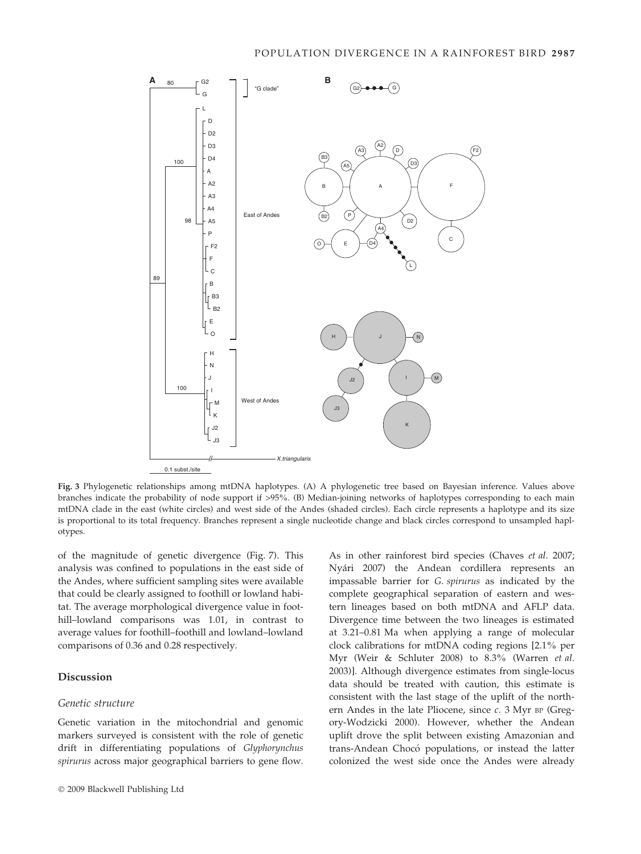

Fig. 3 Phylogenetic relationships among mtDNA haplotypes. (A) A phylogenetic tree based on Bayesian inference. Values above branches indicate the probability of node support if >95%. (B) Median-joining networks of haplotypes corresponding to each main mtDNA clade in the east (white circles) and west side of the Andes (shaded circles). Each circle represents a haplotype and its size is proportional to its total frequency. Branches represent a single nucleotide change and black circles correspond to unsampled haplotypes.

of the magnitude of genetic divergence (Fig. 7). This analysis was confined to populations in the east side of the Andes, where sufficient sampling sites were available that could be clearly assigned to foothill or lowland habitat. The average morphological divergence value in foothill–lowland comparisons was 1.01, in contrast to average values for foothill–foothill and lowland–lowland comparisons of 0.36 and 0.28 respectively.

# Discussion

#### Genetic structure

Genetic variation in the mitochondrial and genomic markers surveyed is consistent with the role of genetic drift in differentiating populations of Glyphorynchus spirurus across major geographical barriers to gene flow. As in other rainforest bird species (Chaves et al. 2007; Nyári 2007) the Andean cordillera represents an impassable barrier for G. spirurus as indicated by the complete geographical separation of eastern and western lineages based on both mtDNA and AFLP data. Divergence time between the two lineages is estimated at 3.21–0.81 Ma when applying a range of molecular clock calibrations for mtDNA coding regions [2.1% per Myr (Weir & Schluter 2008) to 8.3% (Warren et al. 2003)]. Although divergence estimates from single-locus data should be treated with caution, this estimate is consistent with the last stage of the uplift of the northern Andes in the late Pliocene, since c. 3 Myr BP (Gregory-Wodzicki 2000). However, whether the Andean uplift drove the split between existing Amazonian and trans-Andean Chocó populations, or instead the latter colonized the west side once the Andes were already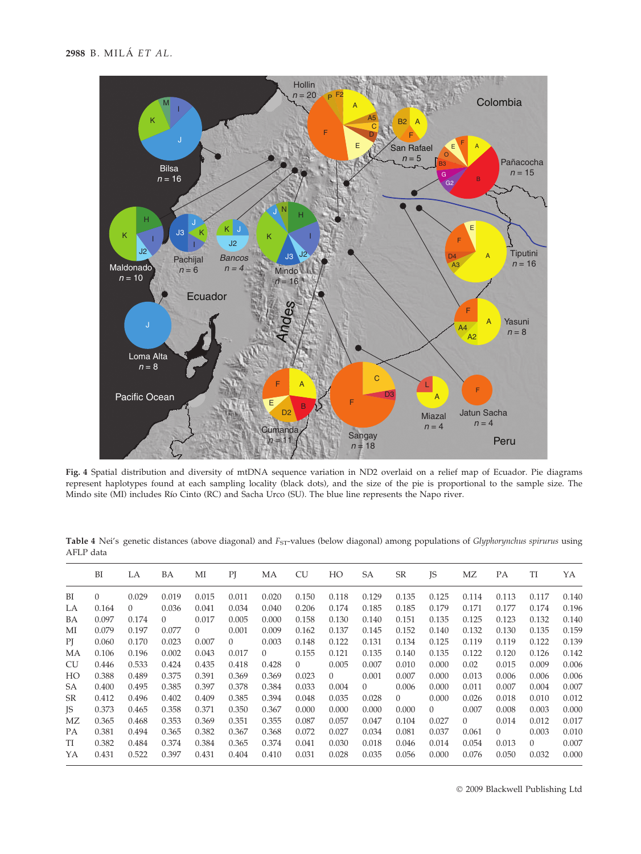

Fig. 4 Spatial distribution and diversity of mtDNA sequence variation in ND2 overlaid on a relief map of Ecuador. Pie diagrams represent haplotypes found at each sampling locality (black dots), and the size of the pie is proportional to the sample size. The Mindo site (MI) includes Río Cinto (RC) and Sacha Urco (SU). The blue line represents the Napo river.

| Table 4 Nei's genetic distances (above diagonal) and F <sub>ST</sub> -values (below diagonal) among populations of Glyphorynchus spirurus using |  |  |  |  |  |  |  |
|-------------------------------------------------------------------------------------------------------------------------------------------------|--|--|--|--|--|--|--|
| AFLP data                                                                                                                                       |  |  |  |  |  |  |  |

|           | BI           | LA       | BA       | МІ       | PI       | МA       | CU       | HO             | SA       | <b>SR</b> | <b>IS</b> | MΖ       | <b>PA</b> | TI       | YA    |
|-----------|--------------|----------|----------|----------|----------|----------|----------|----------------|----------|-----------|-----------|----------|-----------|----------|-------|
| BI        | $\mathbf{0}$ | 0.029    | 0.019    | 0.015    | 0.011    | 0.020    | 0.150    | 0.118          | 0.129    | 0.135     | 0.125     | 0.114    | 0.113     | 0.117    | 0.140 |
| LA        | 0.164        | $\Omega$ | 0.036    | 0.041    | 0.034    | 0.040    | 0.206    | 0.174          | 0.185    | 0.185     | 0.179     | 0.171    | 0.177     | 0.174    | 0.196 |
| BA        | 0.097        | 0.174    | $\Omega$ | 0.017    | 0.005    | 0.000    | 0.158    | 0.130          | 0.140    | 0.151     | 0.135     | 0.125    | 0.123     | 0.132    | 0.140 |
| ΜІ        | 0.079        | 0.197    | 0.077    | $\Omega$ | 0.001    | 0.009    | 0.162    | 0.137          | 0.145    | 0.152     | 0.140     | 0.132    | 0.130     | 0.135    | 0.159 |
| PI        | 0.060        | 0.170    | 0.023    | 0.007    | $\Omega$ | 0.003    | 0.148    | 0.122          | 0.131    | 0.134     | 0.125     | 0.119    | 0.119     | 0.122    | 0.139 |
| MA        | 0.106        | 0.196    | 0.002    | 0.043    | 0.017    | $\theta$ | 0.155    | 0.121          | 0.135    | 0.140     | 0.135     | 0.122    | 0.120     | 0.126    | 0.142 |
| <b>CU</b> | 0.446        | 0.533    | 0.424    | 0.435    | 0.418    | 0.428    | $\Omega$ | 0.005          | 0.007    | 0.010     | 0.000     | 0.02     | 0.015     | 0.009    | 0.006 |
| HO        | 0.388        | 0.489    | 0.375    | 0.391    | 0.369    | 0.369    | 0.023    | $\overline{0}$ | 0.001    | 0.007     | 0.000     | 0.013    | 0.006     | 0.006    | 0.006 |
| SA        | 0.400        | 0.495    | 0.385    | 0.397    | 0.378    | 0.384    | 0.033    | 0.004          | $\Omega$ | 0.006     | 0.000     | 0.011    | 0.007     | 0.004    | 0.007 |
| SR        | 0.412        | 0.496    | 0.402    | 0.409    | 0.385    | 0.394    | 0.048    | 0.035          | 0.028    | $\Omega$  | 0.000     | 0.026    | 0.018     | 0.010    | 0.012 |
| JS        | 0.373        | 0.465    | 0.358    | 0.371    | 0.350    | 0.367    | 0.000    | 0.000          | 0.000    | 0.000     | $\theta$  | 0.007    | 0.008     | 0.003    | 0.000 |
| MΖ        | 0.365        | 0.468    | 0.353    | 0.369    | 0.351    | 0.355    | 0.087    | 0.057          | 0.047    | 0.104     | 0.027     | $\Omega$ | 0.014     | 0.012    | 0.017 |
| PА        | 0.381        | 0.494    | 0.365    | 0.382    | 0.367    | 0.368    | 0.072    | 0.027          | 0.034    | 0.081     | 0.037     | 0.061    | $\Omega$  | 0.003    | 0.010 |
| TI        | 0.382        | 0.484    | 0.374    | 0.384    | 0.365    | 0.374    | 0.041    | 0.030          | 0.018    | 0.046     | 0.014     | 0.054    | 0.013     | $\theta$ | 0.007 |
| YA        | 0.431        | 0.522    | 0.397    | 0.431    | 0.404    | 0.410    | 0.031    | 0.028          | 0.035    | 0.056     | 0.000     | 0.076    | 0.050     | 0.032    | 0.000 |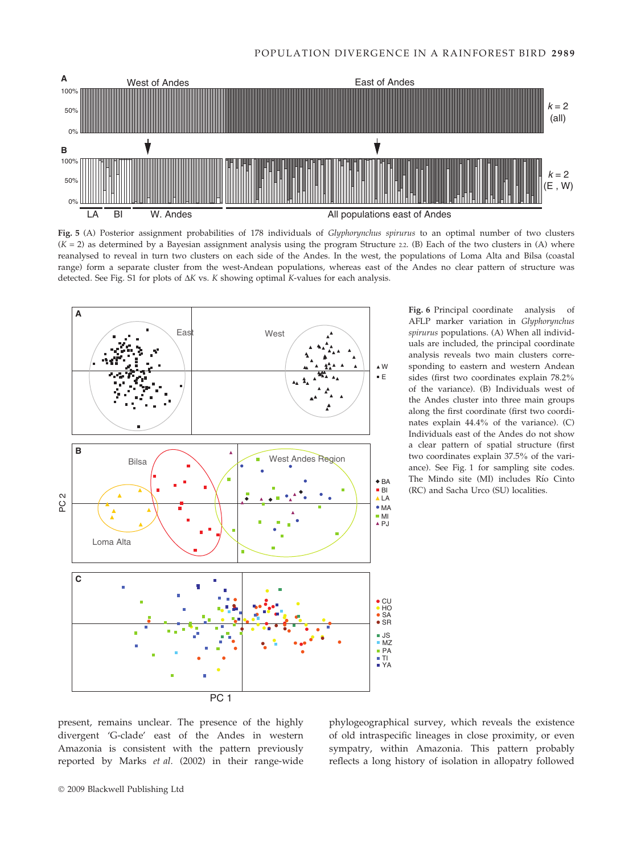

Fig. 5 (A) Posterior assignment probabilities of 178 individuals of Glyphorynchus spirurus to an optimal number of two clusters  $(K = 2)$  as determined by a Bayesian assignment analysis using the program Structure 2.2. (B) Each of the two clusters in (A) where reanalysed to reveal in turn two clusters on each side of the Andes. In the west, the populations of Loma Alta and Bilsa (coastal range) form a separate cluster from the west-Andean populations, whereas east of the Andes no clear pattern of structure was detected. See Fig. S1 for plots of  $\Delta K$  vs. K showing optimal K-values for each analysis.



Fig. 6 Principal coordinate analysis of AFLP marker variation in Glyphorynchus spirurus populations. (A) When all individuals are included, the principal coordinate analysis reveals two main clusters corresponding to eastern and western Andean sides (first two coordinates explain 78.2% of the variance). (B) Individuals west of the Andes cluster into three main groups along the first coordinate (first two coordinates explain 44.4% of the variance). (C) Individuals east of the Andes do not show a clear pattern of spatial structure (first two coordinates explain 37.5% of the variance). See Fig. 1 for sampling site codes. The Mindo site (MI) includes Río Cinto (RC) and Sacha Urco (SU) localities.

present, remains unclear. The presence of the highly divergent 'G-clade' east of the Andes in western Amazonia is consistent with the pattern previously reported by Marks et al. (2002) in their range-wide

phylogeographical survey, which reveals the existence of old intraspecific lineages in close proximity, or even sympatry, within Amazonia. This pattern probably reflects a long history of isolation in allopatry followed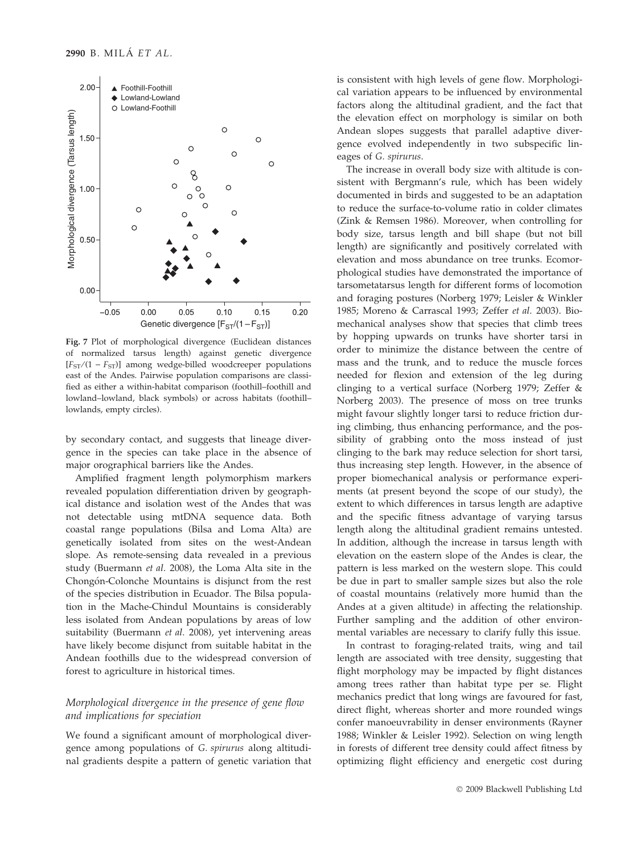

Fig. 7 Plot of morphological divergence (Euclidean distances of normalized tarsus length) against genetic divergence  $[F<sub>ST</sub>/(1 - F<sub>ST</sub>)]$  among wedge-billed woodcreeper populations east of the Andes. Pairwise population comparisons are classified as either a within-habitat comparison (foothill–foothill and lowland–lowland, black symbols) or across habitats (foothill– lowlands, empty circles).

by secondary contact, and suggests that lineage divergence in the species can take place in the absence of major orographical barriers like the Andes.

Amplified fragment length polymorphism markers revealed population differentiation driven by geographical distance and isolation west of the Andes that was not detectable using mtDNA sequence data. Both coastal range populations (Bilsa and Loma Alta) are genetically isolated from sites on the west-Andean slope. As remote-sensing data revealed in a previous study (Buermann et al. 2008), the Loma Alta site in the Chongón-Colonche Mountains is disjunct from the rest of the species distribution in Ecuador. The Bilsa population in the Mache-Chindul Mountains is considerably less isolated from Andean populations by areas of low suitability (Buermann et al. 2008), yet intervening areas have likely become disjunct from suitable habitat in the Andean foothills due to the widespread conversion of forest to agriculture in historical times.

# Morphological divergence in the presence of gene flow and implications for speciation

We found a significant amount of morphological divergence among populations of G. spirurus along altitudinal gradients despite a pattern of genetic variation that

is consistent with high levels of gene flow. Morphological variation appears to be influenced by environmental factors along the altitudinal gradient, and the fact that the elevation effect on morphology is similar on both Andean slopes suggests that parallel adaptive divergence evolved independently in two subspecific lineages of G. spirurus.

The increase in overall body size with altitude is consistent with Bergmann's rule, which has been widely documented in birds and suggested to be an adaptation to reduce the surface-to-volume ratio in colder climates (Zink & Remsen 1986). Moreover, when controlling for body size, tarsus length and bill shape (but not bill length) are significantly and positively correlated with elevation and moss abundance on tree trunks. Ecomorphological studies have demonstrated the importance of tarsometatarsus length for different forms of locomotion and foraging postures (Norberg 1979; Leisler & Winkler 1985; Moreno & Carrascal 1993; Zeffer et al. 2003). Biomechanical analyses show that species that climb trees by hopping upwards on trunks have shorter tarsi in order to minimize the distance between the centre of mass and the trunk, and to reduce the muscle forces needed for flexion and extension of the leg during clinging to a vertical surface (Norberg 1979; Zeffer & Norberg 2003). The presence of moss on tree trunks might favour slightly longer tarsi to reduce friction during climbing, thus enhancing performance, and the possibility of grabbing onto the moss instead of just clinging to the bark may reduce selection for short tarsi, thus increasing step length. However, in the absence of proper biomechanical analysis or performance experiments (at present beyond the scope of our study), the extent to which differences in tarsus length are adaptive and the specific fitness advantage of varying tarsus length along the altitudinal gradient remains untested. In addition, although the increase in tarsus length with elevation on the eastern slope of the Andes is clear, the pattern is less marked on the western slope. This could be due in part to smaller sample sizes but also the role of coastal mountains (relatively more humid than the Andes at a given altitude) in affecting the relationship. Further sampling and the addition of other environmental variables are necessary to clarify fully this issue.

In contrast to foraging-related traits, wing and tail length are associated with tree density, suggesting that flight morphology may be impacted by flight distances among trees rather than habitat type per se. Flight mechanics predict that long wings are favoured for fast, direct flight, whereas shorter and more rounded wings confer manoeuvrability in denser environments (Rayner 1988; Winkler & Leisler 1992). Selection on wing length in forests of different tree density could affect fitness by optimizing flight efficiency and energetic cost during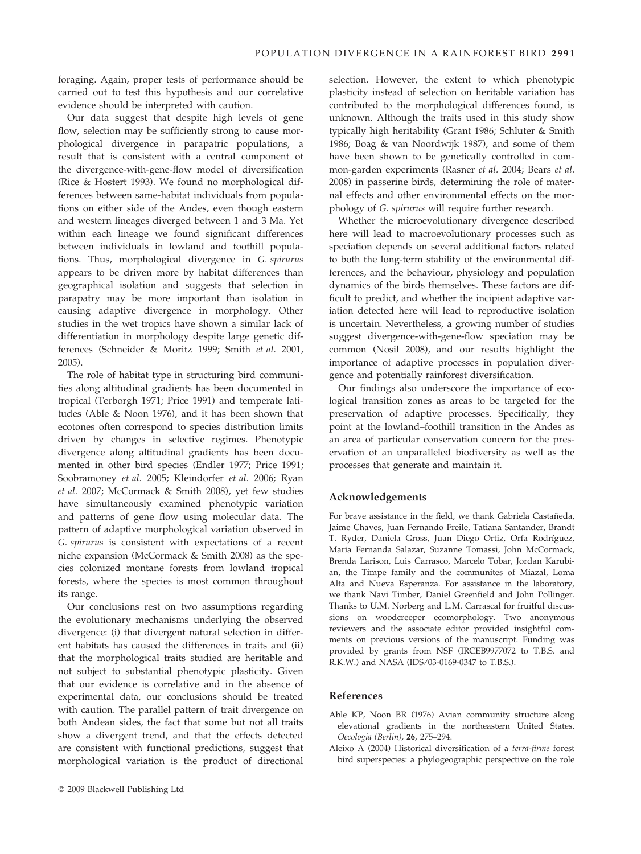foraging. Again, proper tests of performance should be carried out to test this hypothesis and our correlative evidence should be interpreted with caution.

Our data suggest that despite high levels of gene flow, selection may be sufficiently strong to cause morphological divergence in parapatric populations, a result that is consistent with a central component of the divergence-with-gene-flow model of diversification (Rice & Hostert 1993). We found no morphological differences between same-habitat individuals from populations on either side of the Andes, even though eastern and western lineages diverged between 1 and 3 Ma. Yet within each lineage we found significant differences between individuals in lowland and foothill populations. Thus, morphological divergence in G. spirurus appears to be driven more by habitat differences than geographical isolation and suggests that selection in parapatry may be more important than isolation in causing adaptive divergence in morphology. Other studies in the wet tropics have shown a similar lack of differentiation in morphology despite large genetic differences (Schneider & Moritz 1999; Smith et al. 2001, 2005).

The role of habitat type in structuring bird communities along altitudinal gradients has been documented in tropical (Terborgh 1971; Price 1991) and temperate latitudes (Able & Noon 1976), and it has been shown that ecotones often correspond to species distribution limits driven by changes in selective regimes. Phenotypic divergence along altitudinal gradients has been documented in other bird species (Endler 1977; Price 1991; Soobramoney et al. 2005; Kleindorfer et al. 2006; Ryan et al. 2007; McCormack & Smith 2008), yet few studies have simultaneously examined phenotypic variation and patterns of gene flow using molecular data. The pattern of adaptive morphological variation observed in G. spirurus is consistent with expectations of a recent niche expansion (McCormack & Smith 2008) as the species colonized montane forests from lowland tropical forests, where the species is most common throughout its range.

Our conclusions rest on two assumptions regarding the evolutionary mechanisms underlying the observed divergence: (i) that divergent natural selection in different habitats has caused the differences in traits and (ii) that the morphological traits studied are heritable and not subject to substantial phenotypic plasticity. Given that our evidence is correlative and in the absence of experimental data, our conclusions should be treated with caution. The parallel pattern of trait divergence on both Andean sides, the fact that some but not all traits show a divergent trend, and that the effects detected are consistent with functional predictions, suggest that morphological variation is the product of directional selection. However, the extent to which phenotypic plasticity instead of selection on heritable variation has contributed to the morphological differences found, is unknown. Although the traits used in this study show typically high heritability (Grant 1986; Schluter & Smith 1986; Boag & van Noordwijk 1987), and some of them have been shown to be genetically controlled in common-garden experiments (Rasner et al. 2004; Bears et al. 2008) in passerine birds, determining the role of maternal effects and other environmental effects on the morphology of G. spirurus will require further research.

Whether the microevolutionary divergence described here will lead to macroevolutionary processes such as speciation depends on several additional factors related to both the long-term stability of the environmental differences, and the behaviour, physiology and population dynamics of the birds themselves. These factors are difficult to predict, and whether the incipient adaptive variation detected here will lead to reproductive isolation is uncertain. Nevertheless, a growing number of studies suggest divergence-with-gene-flow speciation may be common (Nosil 2008), and our results highlight the importance of adaptive processes in population divergence and potentially rainforest diversification.

Our findings also underscore the importance of ecological transition zones as areas to be targeted for the preservation of adaptive processes. Specifically, they point at the lowland–foothill transition in the Andes as an area of particular conservation concern for the preservation of an unparalleled biodiversity as well as the processes that generate and maintain it.

## Acknowledgements

For brave assistance in the field, we thank Gabriela Castañeda, Jaime Chaves, Juan Fernando Freile, Tatiana Santander, Brandt T. Ryder, Daniela Gross, Juan Diego Ortiz, Orfa Rodríguez, María Fernanda Salazar, Suzanne Tomassi, John McCormack, Brenda Larison, Luis Carrasco, Marcelo Tobar, Jordan Karubian, the Timpe family and the communites of Miazal, Loma Alta and Nueva Esperanza. For assistance in the laboratory, we thank Navi Timber, Daniel Greenfield and John Pollinger. Thanks to U.M. Norberg and L.M. Carrascal for fruitful discussions on woodcreeper ecomorphology. Two anonymous reviewers and the associate editor provided insightful comments on previous versions of the manuscript. Funding was provided by grants from NSF (IRCEB9977072 to T.B.S. and R.K.W.) and NASA (IDS/03-0169-0347 to T.B.S.).

### References

- Able KP, Noon BR (1976) Avian community structure along elevational gradients in the northeastern United States. Oecologia (Berlin), 26, 275–294.
- Aleixo A (2004) Historical diversification of a terra-firme forest bird superspecies: a phylogeographic perspective on the role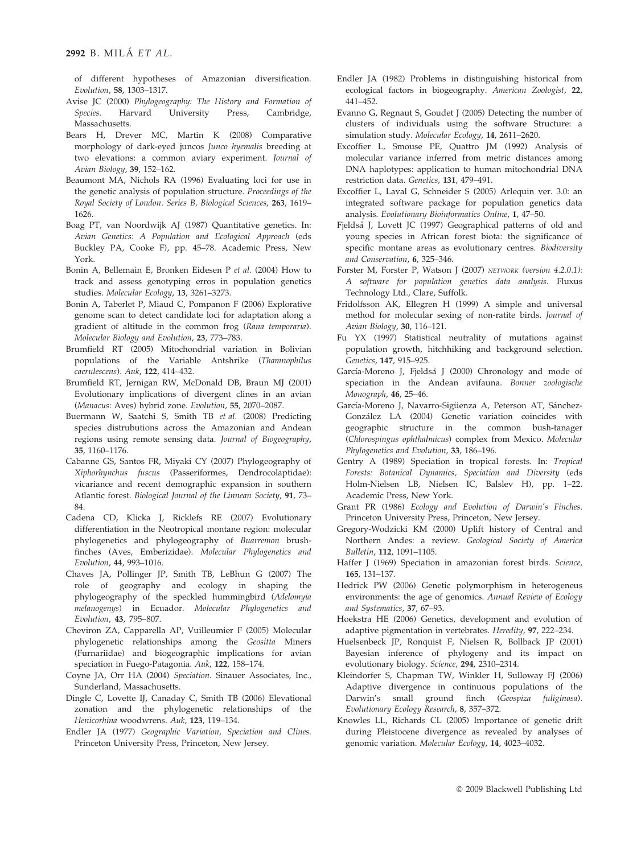of different hypotheses of Amazonian diversification. Evolution, 58, 1303–1317.

- Avise JC (2000) Phylogeography: The History and Formation of Species. Harvard University Press, Cambridge, Massachusetts.
- Bears H, Drever MC, Martin K (2008) Comparative morphology of dark-eyed juncos Junco hyemalis breeding at two elevations: a common aviary experiment. Journal of Avian Biology, 39, 152–162.
- Beaumont MA, Nichols RA (1996) Evaluating loci for use in the genetic analysis of population structure. Proceedings of the Royal Society of London. Series B, Biological Sciences, 263, 1619– 1626.
- Boag PT, van Noordwijk AJ (1987) Quantitative genetics. In: Avian Genetics: A Population and Ecological Approach (eds Buckley PA, Cooke F), pp. 45–78. Academic Press, New York.
- Bonin A, Bellemain E, Bronken Eidesen P et al. (2004) How to track and assess genotyping erros in population genetics studies. Molecular Ecology, 13, 3261–3273.
- Bonin A, Taberlet P, Miaud C, Pompanon F (2006) Explorative genome scan to detect candidate loci for adaptation along a gradient of altitude in the common frog (Rana temporaria). Molecular Biology and Evolution, 23, 773–783.
- Brumfield RT (2005) Mitochondrial variation in Bolivian populations of the Variable Antshrike (Thamnophilus caerulescens). Auk, 122, 414–432.
- Brumfield RT, Jernigan RW, McDonald DB, Braun MJ (2001) Evolutionary implications of divergent clines in an avian (Manacus: Aves) hybrid zone. Evolution, 55, 2070–2087.
- Buermann W, Saatchi S, Smith TB et al. (2008) Predicting species distrubutions across the Amazonian and Andean regions using remote sensing data. Journal of Biogeography, 35, 1160–1176.
- Cabanne GS, Santos FR, Miyaki CY (2007) Phylogeography of Xiphorhynchus fuscus (Passeriformes, Dendrocolaptidae): vicariance and recent demographic expansion in southern Atlantic forest. Biological Journal of the Linnean Society, 91, 73– 84.
- Cadena CD, Klicka J, Ricklefs RE (2007) Evolutionary differentiation in the Neotropical montane region: molecular phylogenetics and phylogeography of Buarremon brushfinches (Aves, Emberizidae). Molecular Phylogenetics and Evolution, 44, 993–1016.
- Chaves JA, Pollinger JP, Smith TB, LeBhun G (2007) The role of geography and ecology in shaping the phylogeography of the speckled hummingbird (Adelomyia melanogenys) in Ecuador. Molecular Phylogenetics and Evolution, 43, 795–807.
- Cheviron ZA, Capparella AP, Vuilleumier F (2005) Molecular phylogenetic relationships among the Geositta Miners (Furnariidae) and biogeographic implications for avian speciation in Fuego-Patagonia. Auk, 122, 158–174.
- Coyne JA, Orr HA (2004) Speciation. Sinauer Associates, Inc., Sunderland, Massachusetts.
- Dingle C, Lovette IJ, Canaday C, Smith TB (2006) Elevational zonation and the phylogenetic relationships of the Henicorhina woodwrens. Auk, 123, 119–134.
- Endler JA (1977) Geographic Variation, Speciation and Clines. Princeton University Press, Princeton, New Jersey.
- Endler JA (1982) Problems in distinguishing historical from ecological factors in biogeography. American Zoologist, 22, 441–452.
- Evanno G, Regnaut S, Goudet J (2005) Detecting the number of clusters of individuals using the software Structure: a simulation study. Molecular Ecology, 14, 2611–2620.
- Excoffier L, Smouse PE, Quattro JM (1992) Analysis of molecular variance inferred from metric distances among DNA haplotypes: application to human mitochondrial DNA restriction data. Genetics, 131, 479–491.
- Excoffier L, Laval G, Schneider S (2005) Arlequin ver. 3.0: an integrated software package for population genetics data analysis. Evolutionary Bioinformatics Online, 1, 47–50.
- Fjeldså J, Lovett JC (1997) Geographical patterns of old and young species in African forest biota: the significance of specific montane areas as evolutionary centres. Biodiversity and Conservation, 6, 325–346.
- Forster M, Forster P, Watson J (2007) NETWORK (version 4.2.0.1): A software for population genetics data analysis. Fluxus Technology Ltd., Clare, Suffolk.
- Fridolfsson AK, Ellegren H (1999) A simple and universal method for molecular sexing of non-ratite birds. Journal of Avian Biology, 30, 116–121.
- Fu YX (1997) Statistical neutrality of mutations against population growth, hitchhiking and background selection. Genetics, 147, 915–925.
- García-Moreno J, Fjeldså J (2000) Chronology and mode of speciation in the Andean avifauna. Bonner zoologische Monograph, 46, 25–46.
- García-Moreno J, Navarro-Sigüenza A, Peterson AT, Sánchez-González LA (2004) Genetic variation coincides with geographic structure in the common bush-tanager (Chlorospingus ophthalmicus) complex from Mexico. Molecular Phylogenetics and Evolution, 33, 186–196.
- Gentry A (1989) Speciation in tropical forests. In: Tropical Forests: Botanical Dynamics, Speciation and Diversity (eds Holm-Nielsen LB, Nielsen IC, Balslev H), pp. 1–22. Academic Press, New York.
- Grant PR (1986) Ecology and Evolution of Darwin's Finches. Princeton University Press, Princeton, New Jersey.
- Gregory-Wodzicki KM (2000) Uplift history of Central and Northern Andes: a review. Geological Society of America Bulletin, 112, 1091–1105.
- Haffer J (1969) Speciation in amazonian forest birds. Science, 165, 131–137.
- Hedrick PW (2006) Genetic polymorphism in heterogeneus environments: the age of genomics. Annual Review of Ecology and Systematics, 37, 67–93.
- Hoekstra HE (2006) Genetics, development and evolution of adaptive pigmentation in vertebrates. Heredity, 97, 222-234.
- Huelsenbeck JP, Ronquist F, Nielsen R, Bollback JP (2001) Bayesian inference of phylogeny and its impact on evolutionary biology. Science, 294, 2310–2314.
- Kleindorfer S, Chapman TW, Winkler H, Sulloway FJ (2006) Adaptive divergence in continuous populations of the Darwin's small ground finch (Geospiza fuliginosa). Evolutionary Ecology Research, 8, 357–372.
- Knowles LL, Richards CL (2005) Importance of genetic drift during Pleistocene divergence as revealed by analyses of genomic variation. Molecular Ecology, 14, 4023–4032.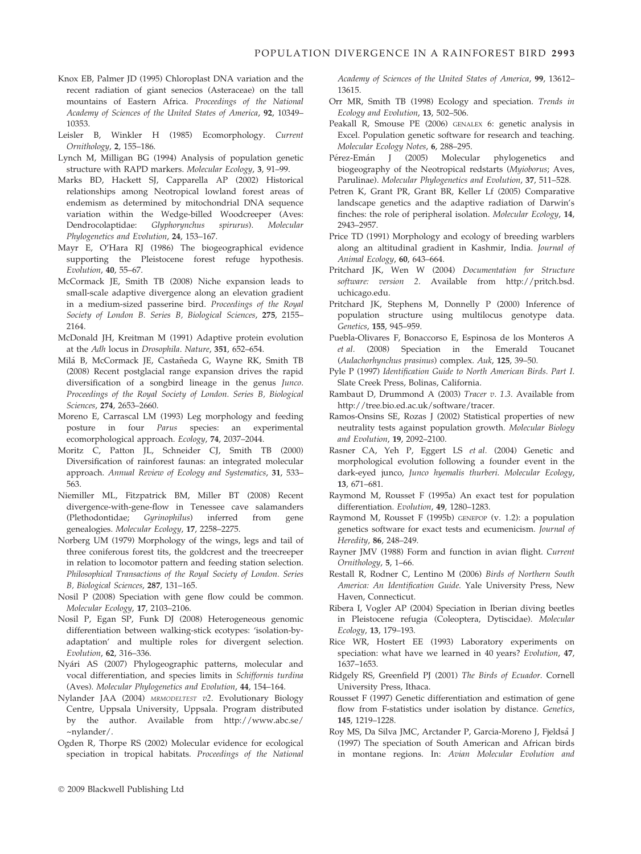- Knox EB, Palmer JD (1995) Chloroplast DNA variation and the recent radiation of giant senecios (Asteraceae) on the tall mountains of Eastern Africa. Proceedings of the National Academy of Sciences of the United States of America, 92, 10349– 10353.
- Leisler B, Winkler H (1985) Ecomorphology. Current Ornithology, 2, 155–186.
- Lynch M, Milligan BG (1994) Analysis of population genetic structure with RAPD markers. Molecular Ecology, 3, 91–99.
- Marks BD, Hackett SJ, Capparella AP (2002) Historical relationships among Neotropical lowland forest areas of endemism as determined by mitochondrial DNA sequence variation within the Wedge-billed Woodcreeper (Aves: Dendrocolaptidae: Glyphorynchus spirurus). Molecular Phylogenetics and Evolution, 24, 153–167.
- Mayr E, O'Hara RJ (1986) The biogeographical evidence supporting the Pleistocene forest refuge hypothesis. Evolution, 40, 55–67.
- McCormack JE, Smith TB (2008) Niche expansion leads to small-scale adaptive divergence along an elevation gradient in a medium-sized passerine bird. Proceedings of the Royal Society of London B. Series B, Biological Sciences, 275, 2155– 2164.
- McDonald JH, Kreitman M (1991) Adaptive protein evolution at the Adh locus in Drosophila. Nature, 351, 652–654.
- Milá B, McCormack JE, Castañeda G, Wayne RK, Smith TB (2008) Recent postglacial range expansion drives the rapid diversification of a songbird lineage in the genus Junco. Proceedings of the Royal Society of London. Series B, Biological Sciences, 274, 2653–2660.
- Moreno E, Carrascal LM (1993) Leg morphology and feeding posture in four Parus species: an experimental ecomorphological approach. Ecology, 74, 2037–2044.
- Moritz C, Patton JL, Schneider CJ, Smith TB (2000) Diversification of rainforest faunas: an integrated molecular approach. Annual Review of Ecology and Systematics, 31, 533– 563.
- Niemiller ML, Fitzpatrick BM, Miller BT (2008) Recent divergence-with-gene-flow in Tenessee cave salamanders (Plethodontidae; Gyrinophilus) inferred from gene genealogies. Molecular Ecology, 17, 2258–2275.
- Norberg UM (1979) Morphology of the wings, legs and tail of three coniferous forest tits, the goldcrest and the treecreeper in relation to locomotor pattern and feeding station selection. Philosophical Transactions of the Royal Society of London. Series B, Biological Sciences, 287, 131–165.
- Nosil P (2008) Speciation with gene flow could be common. Molecular Ecology, 17, 2103–2106.
- Nosil P, Egan SP, Funk DJ (2008) Heterogeneous genomic differentiation between walking-stick ecotypes: 'isolation-byadaptation' and multiple roles for divergent selection. Evolution, 62, 316–336.
- Nyári AS (2007) Phylogeographic patterns, molecular and vocal differentiation, and species limits in Schiffornis turdina (Aves). Molecular Phylogenetics and Evolution, 44, 154–164.
- Nylander JAA (2004) MRMODELTEST v2. Evolutionary Biology Centre, Uppsala University, Uppsala. Program distributed by the author. Available from http://www.abc.se/ ~nylander/.
- Ogden R, Thorpe RS (2002) Molecular evidence for ecological speciation in tropical habitats. Proceedings of the National

Academy of Sciences of the United States of America, 99, 13612– 13615.

- Orr MR, Smith TB (1998) Ecology and speciation. Trends in Ecology and Evolution, 13, 502–506.
- Peakall R, Smouse PE (2006) GENALEX 6: genetic analysis in Excel. Population genetic software for research and teaching. Molecular Ecology Notes, 6, 288–295.
- Pérez-Emán J (2005) Molecular phylogenetics and biogeography of the Neotropical redstarts (Myioborus; Aves, Parulinae). Molecular Phylogenetics and Evolution, 37, 511–528.
- Petren K, Grant PR, Grant BR, Keller Lf (2005) Comparative landscape genetics and the adaptive radiation of Darwin's finches: the role of peripheral isolation. Molecular Ecology, 14, 2943–2957.
- Price TD (1991) Morphology and ecology of breeding warblers along an altitudinal gradient in Kashmir, India. Journal of Animal Ecology, 60, 643–664.
- Pritchard JK, Wen W (2004) Documentation for Structure software: version 2. Available from http://pritch.bsd. uchicago.edu.
- Pritchard JK, Stephens M, Donnelly P (2000) Inference of population structure using multilocus genotype data. Genetics, 155, 945–959.
- Puebla-Olivares F, Bonaccorso E, Espinosa de los Monteros A et al. (2008) Speciation in the Emerald Toucanet (Aulachorhynchus prasinus) complex. Auk, 125, 39–50.
- Pyle P (1997) Identification Guide to North American Birds. Part I. Slate Creek Press, Bolinas, California.
- Rambaut D, Drummond A (2003) Tracer v. 1.3. Available from http://tree.bio.ed.ac.uk/software/tracer.
- Ramos-Onsins SE, Rozas J (2002) Statistical properties of new neutrality tests against population growth. Molecular Biology and Evolution, 19, 2092–2100.
- Rasner CA, Yeh P, Eggert LS et al. (2004) Genetic and morphological evolution following a founder event in the dark-eyed junco, Junco hyemalis thurberi. Molecular Ecology, 13, 671–681.
- Raymond M, Rousset F (1995a) An exact test for population differentiation. Evolution, 49, 1280–1283.
- Raymond M, Rousset F (1995b) GENEPOP (v. 1.2): a population genetics software for exact tests and ecumenicism. Journal of Heredity, 86, 248–249.
- Rayner JMV (1988) Form and function in avian flight. Current Ornithology, 5, 1–66.
- Restall R, Rodner C, Lentino M (2006) Birds of Northern South America: An Identification Guide. Yale University Press, New Haven, Connecticut.
- Ribera I, Vogler AP (2004) Speciation in Iberian diving beetles in Pleistocene refugia (Coleoptera, Dytiscidae). Molecular Ecology, 13, 179–193.
- Rice WR, Hostert EE (1993) Laboratory experiments on speciation: what have we learned in 40 years? Evolution, 47, 1637–1653.
- Ridgely RS, Greenfield PJ (2001) The Birds of Ecuador. Cornell University Press, Ithaca.
- Rousset F (1997) Genetic differentiation and estimation of gene flow from F-statistics under isolation by distance. Genetics, 145, 1219–1228.
- Roy MS, Da Silva JMC, Arctander P, Garcia-Moreno J, Fjeldsa˚ J (1997) The speciation of South American and African birds in montane regions. In: Avian Molecular Evolution and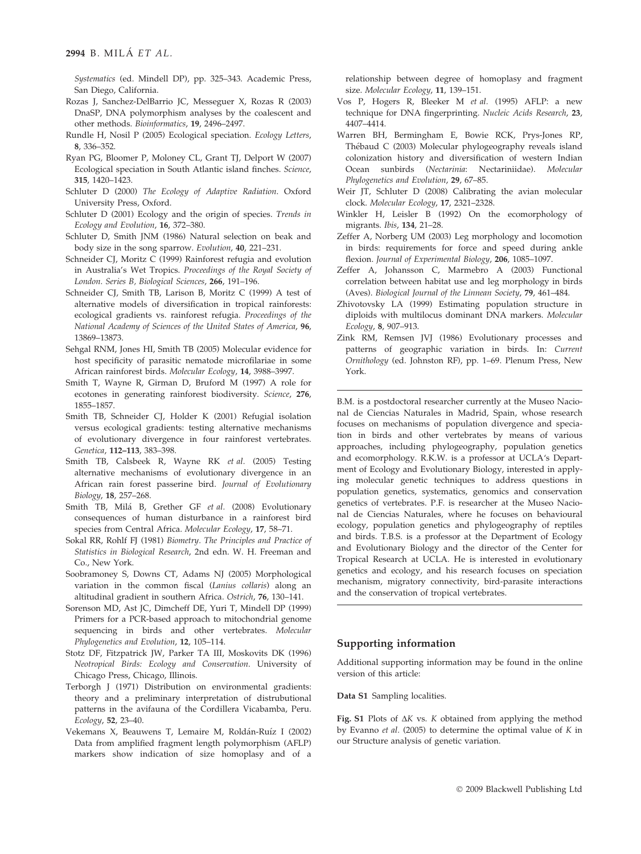Systematics (ed. Mindell DP), pp. 325–343. Academic Press, San Diego, California.

- Rozas J, Sanchez-DelBarrio JC, Messeguer X, Rozas R (2003) DnaSP, DNA polymorphism analyses by the coalescent and other methods. Bioinformatics, 19, 2496–2497.
- Rundle H, Nosil P (2005) Ecological speciation. Ecology Letters, 8, 336–352.
- Ryan PG, Bloomer P, Moloney CL, Grant TJ, Delport W (2007) Ecological speciation in South Atlantic island finches. Science, 315, 1420–1423.
- Schluter D (2000) The Ecology of Adaptive Radiation. Oxford University Press, Oxford.
- Schluter D (2001) Ecology and the origin of species. Trends in Ecology and Evolution, 16, 372–380.
- Schluter D, Smith JNM (1986) Natural selection on beak and body size in the song sparrow. Evolution, 40, 221–231.
- Schneider CJ, Moritz C (1999) Rainforest refugia and evolution in Australia's Wet Tropics. Proceedings of the Royal Society of London. Series B, Biological Sciences, 266, 191–196.
- Schneider CJ, Smith TB, Larison B, Moritz C (1999) A test of alternative models of diversification in tropical rainforests: ecological gradients vs. rainforest refugia. Proceedings of the National Academy of Sciences of the United States of America, 96, 13869–13873.
- Sehgal RNM, Jones HI, Smith TB (2005) Molecular evidence for host specificity of parasitic nematode microfilariae in some African rainforest birds. Molecular Ecology, 14, 3988–3997.
- Smith T, Wayne R, Girman D, Bruford M (1997) A role for ecotones in generating rainforest biodiversity. Science, 276, 1855–1857.
- Smith TB, Schneider CJ, Holder K (2001) Refugial isolation versus ecological gradients: testing alternative mechanisms of evolutionary divergence in four rainforest vertebrates. Genetica, 112–113, 383–398.
- Smith TB, Calsbeek R, Wayne RK et al. (2005) Testing alternative mechanisms of evolutionary divergence in an African rain forest passerine bird. Journal of Evolutionary Biology, 18, 257–268.
- Smith TB, Milá B, Grether GF et al. (2008) Evolutionary consequences of human disturbance in a rainforest bird species from Central Africa. Molecular Ecology, 17, 58–71.
- Sokal RR, Rohlf FJ (1981) Biometry. The Principles and Practice of Statistics in Biological Research, 2nd edn. W. H. Freeman and Co., New York.
- Soobramoney S, Downs CT, Adams NJ (2005) Morphological variation in the common fiscal (Lanius collaris) along an altitudinal gradient in southern Africa. Ostrich, 76, 130–141.
- Sorenson MD, Ast JC, Dimcheff DE, Yuri T, Mindell DP (1999) Primers for a PCR-based approach to mitochondrial genome sequencing in birds and other vertebrates. Molecular Phylogenetics and Evolution, 12, 105–114.
- Stotz DF, Fitzpatrick JW, Parker TA III, Moskovits DK (1996) Neotropical Birds: Ecology and Conservation. University of Chicago Press, Chicago, Illinois.
- Terborgh J (1971) Distribution on environmental gradients: theory and a preliminary interpretation of distrubutional patterns in the avifauna of the Cordillera Vicabamba, Peru. Ecology, 52, 23–40.
- Vekemans X, Beauwens T, Lemaire M, Roldán-Ruíz I (2002) Data from amplified fragment length polymorphism (AFLP) markers show indication of size homoplasy and of a

relationship between degree of homoplasy and fragment size. Molecular Ecology, 11, 139-151.

- Vos P, Hogers R, Bleeker M et al. (1995) AFLP: a new technique for DNA fingerprinting. Nucleic Acids Research, 23, 4407–4414.
- Warren BH, Bermingham E, Bowie RCK, Prys-Jones RP, Thébaud C (2003) Molecular phylogeography reveals island colonization history and diversification of western Indian Ocean sunbirds (Nectarinia: Nectariniidae). Molecular Phylogenetics and Evolution, 29, 67–85.
- Weir JT, Schluter D (2008) Calibrating the avian molecular clock. Molecular Ecology, 17, 2321–2328.
- Winkler H, Leisler B (1992) On the ecomorphology of migrants. Ibis, 134, 21–28.
- Zeffer A, Norberg UM (2003) Leg morphology and locomotion in birds: requirements for force and speed during ankle flexion. Journal of Experimental Biology, 206, 1085-1097.
- Zeffer A, Johansson C, Marmebro A (2003) Functional correlation between habitat use and leg morphology in birds (Aves). Biological Journal of the Linnean Society, 79, 461–484.
- Zhivotovsky LA (1999) Estimating population structure in diploids with multilocus dominant DNA markers. Molecular Ecology, 8, 907–913.
- Zink RM, Remsen JVJ (1986) Evolutionary processes and patterns of geographic variation in birds. In: Current Ornithology (ed. Johnston RF), pp. 1–69. Plenum Press, New York.

B.M. is a postdoctoral researcher currently at the Museo Nacional de Ciencias Naturales in Madrid, Spain, whose research focuses on mechanisms of population divergence and speciation in birds and other vertebrates by means of various approaches, including phylogeography, population genetics and ecomorphology. R.K.W. is a professor at UCLA's Department of Ecology and Evolutionary Biology, interested in applying molecular genetic techniques to address questions in population genetics, systematics, genomics and conservation genetics of vertebrates. P.F. is researcher at the Museo Nacional de Ciencias Naturales, where he focuses on behavioural ecology, population genetics and phylogeography of reptiles and birds. T.B.S. is a professor at the Department of Ecology and Evolutionary Biology and the director of the Center for Tropical Research at UCLA. He is interested in evolutionary genetics and ecology, and his research focuses on speciation mechanism, migratory connectivity, bird-parasite interactions and the conservation of tropical vertebrates.

## Supporting information

Additional supporting information may be found in the online version of this article:

Data S1 Sampling localities.

Fig. S1 Plots of  $\Delta K$  vs. K obtained from applying the method by Evanno et al. (2005) to determine the optimal value of K in our Structure analysis of genetic variation.